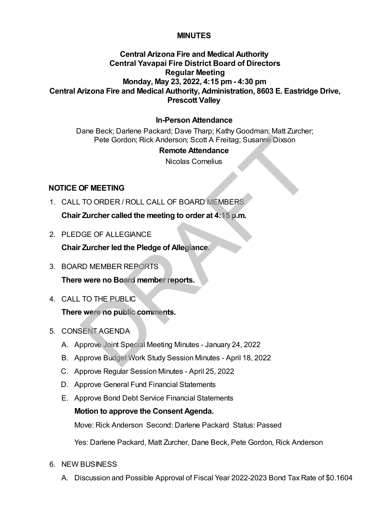## **MINUTES**

# **Central Arizona Fire and Medical Authority Central Yavapai Fire District Board of Directors Regular Meeting Monday, May 23, 2022, 4:15 pm - 4:30 pm Central Arizona Fire and Medical Authority, Administration, 8603 E. Eastridge Drive, Prescott Valley**

## **In-Person Attendance**

Dane Beck; Darlene Packard; Dave Tharp; Kathy Goodman; Matt Zurcher; Pete Gordon; Rick Anderson; Scott A Freitag; Susanne Dixson

#### **Remote Attendance**

Nicolas Cornelius

### **NOTICE OF MEETING**

- 1. CALL TO ORDER / ROLL CALL OF BOARD MEMBERS **Chair Zurcher called the meeting to order at 4:15 p.m.** Pete Gordon; Rick Anderson; Scott A Freitag; Susanne Dixson<br>
Remote Attendance<br>
Nicolas Cornelius<br>
DF MEETING<br>
DF MEETING<br>
TO ORDER / ROLL CALL OF BOARD MEMBERS<br>
Zurcher called the meeting to order at 4:15 p.m.<br>
DGE OF ALL
- 2. PLEDGE OF ALLEGIANCE

**Chair Zurcher led the Pledge of Allegiance.**

- 3. BOARD MEMBER REPORTS **There were no Board member reports.**
- 4. CALL TO THE PUBLIC

**There were no public comments.**

- 5. CONSENT AGENDA
	- A. Approve Joint Special Meeting Minutes January 24, 2022
	- B. Approve Budget Work Study Session Minutes April 18, 2022
	- C. Approve Regular Session Minutes April 25, 2022
	- D. Approve General Fund Financial Statements
	- E. Approve Bond Debt Service Financial Statements

#### **Motion to approve the Consent Agenda.**

Move: Rick Anderson Second: Darlene Packard Status: Passed

Yes: Darlene Packard, Matt Zurcher, Dane Beck, Pete Gordon, Rick Anderson

- 6. NEW BUSINESS
	- A. Discussion and Possible Approval of Fiscal Year 2022-2023 Bond Tax Rate of \$0.1604